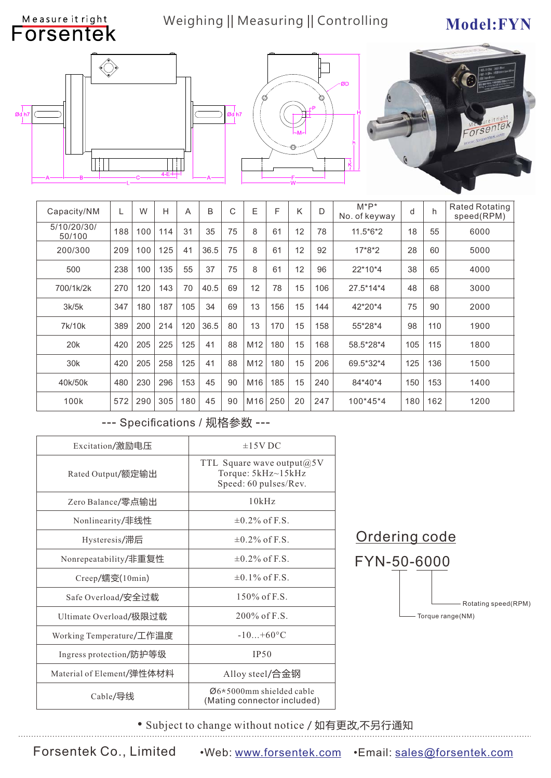### Weighing || Measuring || Controlling Model:FYN







| Capacity/NM           | L   | W   | H   | A   | B    | C  | E               | F   | K  | D   | $M^*P^*$<br>No. of keyway | d   | h   | <b>Rated Rotating</b><br>speed(RPM) |
|-----------------------|-----|-----|-----|-----|------|----|-----------------|-----|----|-----|---------------------------|-----|-----|-------------------------------------|
| 5/10/20/30/<br>50/100 | 188 | 100 | 114 | 31  | 35   | 75 | 8               | 61  | 12 | 78  | 11.5*6*2                  | 18  | 55  | 6000                                |
| 200/300               | 209 | 100 | 125 | 41  | 36.5 | 75 | 8               | 61  | 12 | 92  | 17*8*2                    | 28  | 60  | 5000                                |
| 500                   | 238 | 100 | 135 | 55  | 37   | 75 | 8               | 61  | 12 | 96  | $22*10*4$                 | 38  | 65  | 4000                                |
| 700/1k/2k             | 270 | 120 | 143 | 70  | 40.5 | 69 | 12              | 78  | 15 | 106 | 27.5*14*4                 | 48  | 68  | 3000                                |
| 3k/5k                 | 347 | 180 | 187 | 105 | 34   | 69 | 13              | 156 | 15 | 144 | 42*20*4                   | 75  | 90  | 2000                                |
| 7k/10k                | 389 | 200 | 214 | 120 | 36.5 | 80 | 13              | 170 | 15 | 158 | 55*28*4                   | 98  | 110 | 1900                                |
| 20 <sub>k</sub>       | 420 | 205 | 225 | 125 | 41   | 88 | M <sub>12</sub> | 180 | 15 | 168 | 58.5*28*4                 | 105 | 115 | 1800                                |
| 30 <sub>k</sub>       | 420 | 205 | 258 | 125 | 41   | 88 | M12             | 180 | 15 | 206 | 69.5*32*4                 | 125 | 136 | 1500                                |
| 40k/50k               | 480 | 230 | 296 | 153 | 45   | 90 | M16             | 185 | 15 | 240 | 84*40*4                   | 150 | 153 | 1400                                |
| 100k                  | 572 | 290 | 305 | 180 | 45   | 90 | M16             | 250 | 20 | 247 | 100*45*4                  | 180 | 162 | 1200                                |

#### --- Specifications / 规格参数 ---

| Excitation/激励电压           | $\pm$ 15V DC                                                                   |  |  |  |  |
|---------------------------|--------------------------------------------------------------------------------|--|--|--|--|
| Rated Output/额定输出         | TTL Square wave output $(a)$ 5V<br>Torque: 5kHz~15kHz<br>Speed: 60 pulses/Rev. |  |  |  |  |
| Zero Balance/零点输出         | 10kHz                                                                          |  |  |  |  |
| Nonlinearity/非线性          | $\pm 0.2\%$ of F.S.                                                            |  |  |  |  |
| Hysteresis/滞后             | $\pm 0.2\%$ of F.S.                                                            |  |  |  |  |
| Nonrepeatability/非重复性     | $\pm 0.2\%$ of F.S.                                                            |  |  |  |  |
| Creep/蠕变(10min)           | $\pm 0.1\%$ of F.S.                                                            |  |  |  |  |
| Safe Overload/安全过载        | $150\%$ of F.S.                                                                |  |  |  |  |
| Ultimate Overload/极限过载    | $200\%$ of F.S.                                                                |  |  |  |  |
| Working Temperature/工作温度  | $-10+60^{\circ}C$                                                              |  |  |  |  |
| Ingress protection/防护等级   | <b>IP50</b>                                                                    |  |  |  |  |
| Material of Element/弹性体材料 | Alloy steel/合金钢                                                                |  |  |  |  |
| Cable/导线                  | $\varnothing$ 6*5000mm shielded cable<br>(Mating connector included)           |  |  |  |  |



• Subject to change without notice / 如有更改,不另行通知